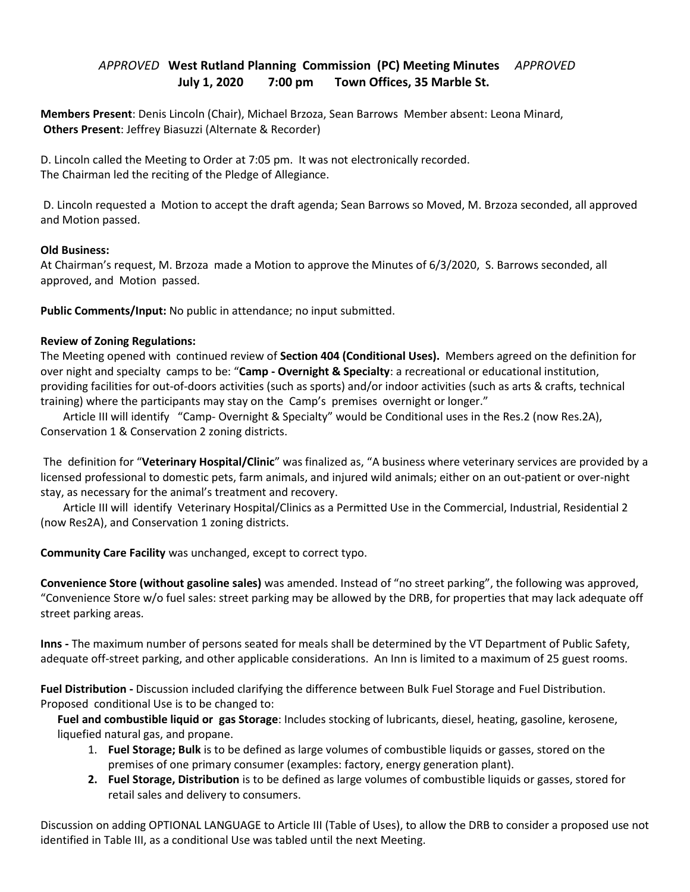## *APPROVED* **West Rutland Planning Commission (PC) Meeting Minutes** *APPROVED*   **July 1, 2020 7:00 pm Town Offices, 35 Marble St.**

**Members Present**: Denis Lincoln (Chair), Michael Brzoza, Sean Barrows Member absent: Leona Minard, **Others Present**: Jeffrey Biasuzzi (Alternate & Recorder)

D. Lincoln called the Meeting to Order at 7:05 pm. It was not electronically recorded. The Chairman led the reciting of the Pledge of Allegiance.

 D. Lincoln requested a Motion to accept the draft agenda; Sean Barrows so Moved, M. Brzoza seconded, all approved and Motion passed.

## **Old Business:**

At Chairman's request, M. Brzoza made a Motion to approve the Minutes of 6/3/2020, S. Barrows seconded, all approved, and Motion passed.

**Public Comments/Input:** No public in attendance; no input submitted.

## **Review of Zoning Regulations:**

The Meeting opened with continued review of **Section 404 (Conditional Uses).** Members agreed on the definition for over night and specialty camps to be: "**Camp - Overnight & Specialty**: a recreational or educational institution, providing facilities for out-of-doors activities (such as sports) and/or indoor activities (such as arts & crafts, technical training) where the participants may stay on the Camp's premises overnight or longer."

 Article III will identify "Camp- Overnight & Specialty" would be Conditional uses in the Res.2 (now Res.2A), Conservation 1 & Conservation 2 zoning districts.

 The definition for "**Veterinary Hospital/Clinic**" was finalized as, "A business where veterinary services are provided by a licensed professional to domestic pets, farm animals, and injured wild animals; either on an out-patient or over-night stay, as necessary for the animal's treatment and recovery.

 Article III will identify Veterinary Hospital/Clinics as a Permitted Use in the Commercial, Industrial, Residential 2 (now Res2A), and Conservation 1 zoning districts.

**Community Care Facility** was unchanged, except to correct typo.

**Convenience Store (without gasoline sales)** was amended. Instead of "no street parking", the following was approved, "Convenience Store w/o fuel sales: street parking may be allowed by the DRB, for properties that may lack adequate off street parking areas.

**Inns -** The maximum number of persons seated for meals shall be determined by the VT Department of Public Safety, adequate off-street parking, and other applicable considerations. An Inn is limited to a maximum of 25 guest rooms.

**Fuel Distribution -** Discussion included clarifying the difference between Bulk Fuel Storage and Fuel Distribution. Proposed conditional Use is to be changed to:

 **Fuel and combustible liquid or gas Storage**: Includes stocking of lubricants, diesel, heating, gasoline, kerosene, liquefied natural gas, and propane.

- 1. **Fuel Storage; Bulk** is to be defined as large volumes of combustible liquids or gasses, stored on the premises of one primary consumer (examples: factory, energy generation plant).
- **2. Fuel Storage, Distribution** is to be defined as large volumes of combustible liquids or gasses, stored for retail sales and delivery to consumers.

Discussion on adding OPTIONAL LANGUAGE to Article III (Table of Uses), to allow the DRB to consider a proposed use not identified in Table III, as a conditional Use was tabled until the next Meeting.